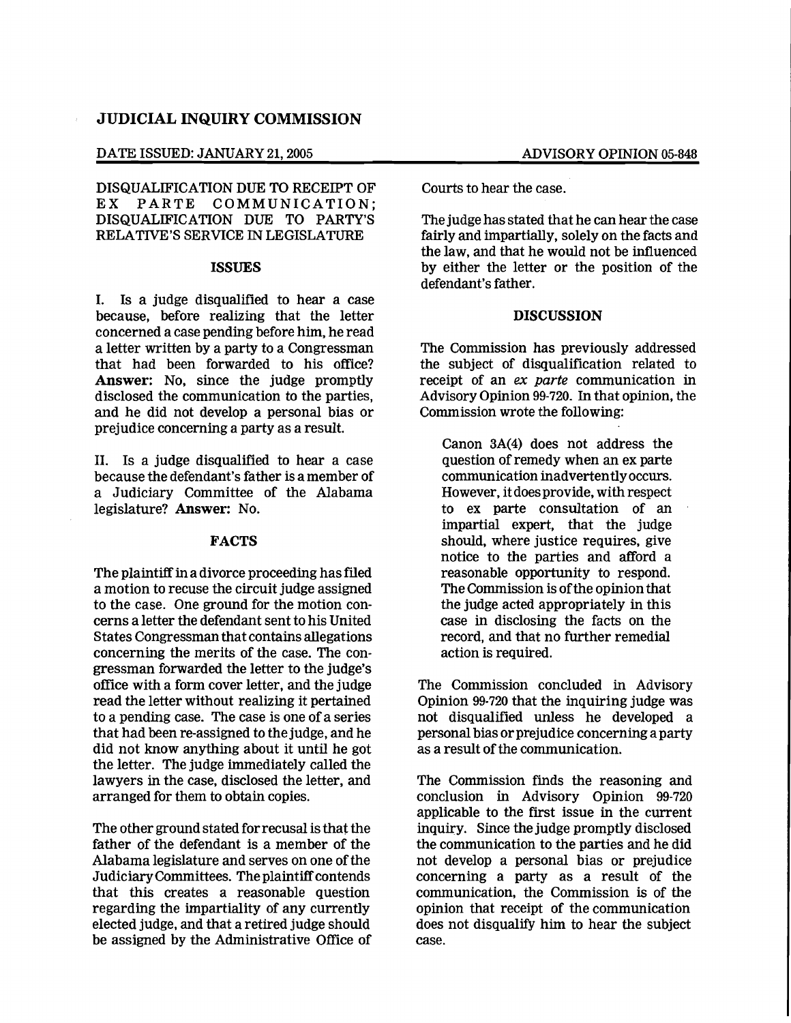# **JUDICIAL INQUIRY COMMISSION**

#### DATE ISSUED: JANUARY 21, 2005 ADVISORY OPINION 05-848

DISQUALIFICATION DUE TO RECEIPT OF<br>EX PARTE COMMUNICATION: PARTE COMMUNICATION: DISQUALIFICATION DUE TO PARTY'S RELATIVE'S SERVICE IN LEGISLATURE

#### **ISSUES**

I. Is a judge disqualified to hear a case because, before realizing that the letter concerned a case pending before him, he read a letter written by a party to a Congressman that had been forwarded to his office? Answer: No, since the judge promptly disclosed the communication to the parties, and he did not develop a personal bias or prejudice concerning a party as a result.

II. Is a judge disqualified to hear a case because the defendant's father is a member of a Judiciary Committee of the Alabama legislature? Answer: No.

### **FACTS**

The plaintiff in a divorce proceeding has filed a motion to recuse the circuit judge assigned to the case. One ground for the motion concerns a letter the defendant sent to his United States Congressman that contains allegations concerning the merits of the case. The congressman forwarded the letter to the judge's office with a form cover letter, and the judge read the letter without realizing it pertained to a pending case. The case is one of a series that had been re-assigned to the judge, and he did not know anything about it until he got the letter. The judge immediately called the lawyers in the case, disclosed the letter, and arranged for them to obtain copies.

The other ground stated forrecusal is that the father of the defendant is a member of the Alabama legislature and serves on one of the Judiciary Committees. The plaintiff contends that this creates a reasonable question regarding the impartiality of any currently elected judge, and that a retired judge should be assigned by the Administrative Office of Courts to hear the case.

The judge hasstated that he can hear the case fairly and impartially, solely on the facts and the law, and that he would not be influenced by either the letter or the position of the defendant's father.

#### **DISCUSSION**

The Commission has previously addressed the subject of disqualification related to receipt of an *ex parte* communication in Advisory Opinion 99-720. In that opinion, the Commission wrote the following:

Canon 3A(4) does not address the question of remedy when an ex parte communication inadvertentlyoccurs. However, itdoes provide, with respect to ex parte consultation of an impartial expert, that the judge should, where justice requires, give notice to the parties and afford a reasonable opportunity to respond. The Commission is of the opinion that the judge acted appropriately in this case in disclosing the facts on the record, and that no further remedial action is required.

The Commission concluded in Advisory Opinion 99-720 that the inquiring judge was not disqualified unless he developed a personal bias or prejudice concerning a party as a result of the communication.

The Commission finds the reasoning and conclusion in Advisory Opinion 99-720 applicable to the fIrst issue in the current inquiry. Since the judge promptly disclosed the communication to the parties and he did not develop a personal bias or prejudice concerning a party as a result of the communication, the Commission is of the opinion that receipt of the communication does not disqualify him to hear the subject case.